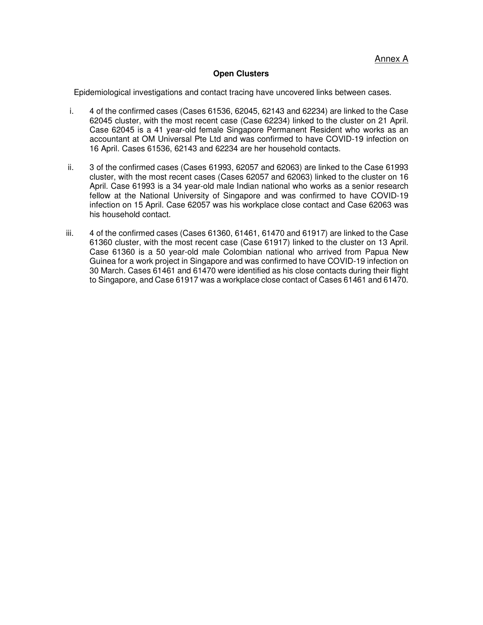## **Open Clusters**

Epidemiological investigations and contact tracing have uncovered links between cases.

- i. 4 of the confirmed cases (Cases 61536, 62045, 62143 and 62234) are linked to the Case 62045 cluster, with the most recent case (Case 62234) linked to the cluster on 21 April. Case 62045 is a 41 year-old female Singapore Permanent Resident who works as an accountant at OM Universal Pte Ltd and was confirmed to have COVID-19 infection on 16 April. Cases 61536, 62143 and 62234 are her household contacts.
- ii. 3 of the confirmed cases (Cases 61993, 62057 and 62063) are linked to the Case 61993 cluster, with the most recent cases (Cases 62057 and 62063) linked to the cluster on 16 April. Case 61993 is a 34 year-old male Indian national who works as a senior research fellow at the National University of Singapore and was confirmed to have COVID-19 infection on 15 April. Case 62057 was his workplace close contact and Case 62063 was his household contact.
- iii. 4 of the confirmed cases (Cases 61360, 61461, 61470 and 61917) are linked to the Case 61360 cluster, with the most recent case (Case 61917) linked to the cluster on 13 April. Case 61360 is a 50 year-old male Colombian national who arrived from Papua New Guinea for a work project in Singapore and was confirmed to have COVID-19 infection on 30 March. Cases 61461 and 61470 were identified as his close contacts during their flight to Singapore, and Case 61917 was a workplace close contact of Cases 61461 and 61470.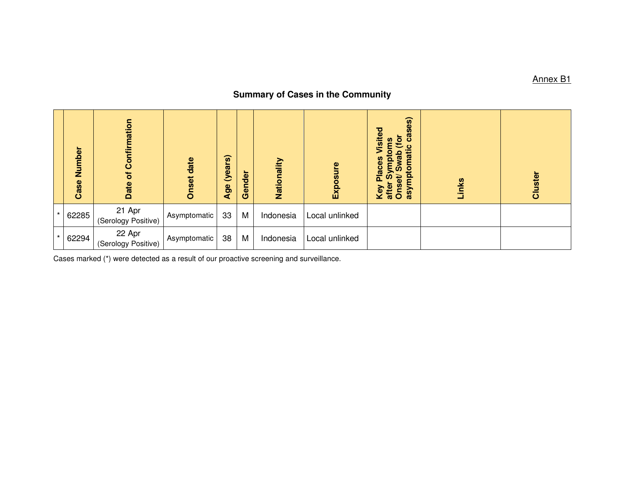## **Summary of Cases in the Community**

|         | Number<br>Case | Confirmation<br>$\overline{\sigma}$<br>Date | <b>Onset date</b> | (years)<br>Age | Gender | Nationality | Exposure       | es)<br>$\overline{a}$<br>о<br>isite<br>ී<br>$\mathbf{\tilde{e}}$<br><u>ဇ်</u><br>ပ<br>mati<br>$\overline{\mathfrak{G}}$<br>ō<br><b>Places</b><br>$\overline{\mathbf{Q}}$<br>asympi<br>Key Pl<br>after S<br>Onset/ | Links | Cluster |
|---------|----------------|---------------------------------------------|-------------------|----------------|--------|-------------|----------------|-------------------------------------------------------------------------------------------------------------------------------------------------------------------------------------------------------------------|-------|---------|
| $\star$ | 62285          | 21 Apr<br>(Serology Positive)               | Asymptomatic      | 33             | M      | Indonesia   | Local unlinked |                                                                                                                                                                                                                   |       |         |
| $\star$ | 62294          | 22 Apr<br>(Serology Positive)               | Asymptomatic      | 38             | M      | Indonesia   | Local unlinked |                                                                                                                                                                                                                   |       |         |

Cases marked (\*) were detected as a result of our proactive screening and surveillance.

Annex B1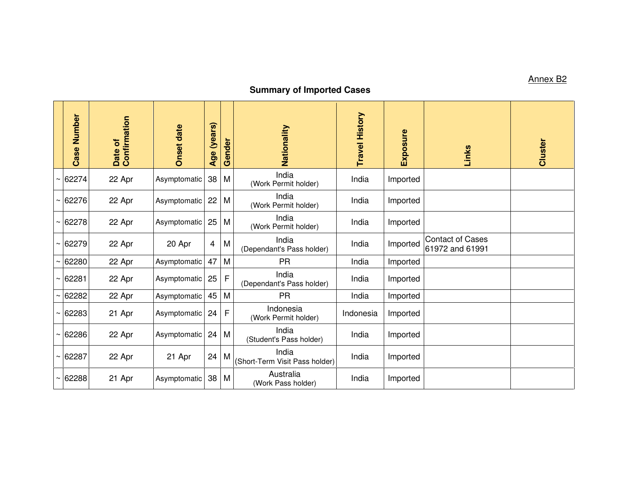## **Summary of Imported Cases**

|                       | Number<br>Case | Date of<br>Confirmation | <b>Onset date</b> | (years)<br>Age | Gender | Nationality                             | <b>Travel History</b> | Exposure | Links                                      | Cluster |
|-----------------------|----------------|-------------------------|-------------------|----------------|--------|-----------------------------------------|-----------------------|----------|--------------------------------------------|---------|
|                       | 62274          | 22 Apr                  | Asymptomatic      | 38             | M      | India<br>(Work Permit holder)           | India                 | Imported |                                            |         |
|                       | 62276          | 22 Apr                  | Asymptomatic      | 22             | M      | India<br>(Work Permit holder)           | India                 | Imported |                                            |         |
| $\tilde{\phantom{a}}$ | 62278          | 22 Apr                  | Asymptomatic      | 25             | M      | India<br>(Work Permit holder)           | India                 | Imported |                                            |         |
|                       | 62279          | 22 Apr                  | 20 Apr            | $\overline{4}$ | M      | India<br>(Dependant's Pass holder)      | India                 | Imported | <b>Contact of Cases</b><br>61972 and 61991 |         |
|                       | 62280          | 22 Apr                  | Asymptomatic      | 47             | M      | <b>PR</b>                               | India                 | Imported |                                            |         |
|                       | 62281          | 22 Apr                  | Asymptomatic      | 25             | F      | India<br>(Dependant's Pass holder)      | India                 | Imported |                                            |         |
|                       | 62282          | 22 Apr                  | Asymptomatic      | 45             | M      | <b>PR</b>                               | India                 | Imported |                                            |         |
|                       | 62283          | 21 Apr                  | Asymptomatic      | 24             | F      | Indonesia<br>(Work Permit holder)       | Indonesia             | Imported |                                            |         |
| ∼                     | 62286          | 22 Apr                  | Asymptomatic      | 24             | M      | India<br>(Student's Pass holder)        | India                 | Imported |                                            |         |
| ∼                     | 62287          | 22 Apr                  | 21 Apr            | 24             | M      | India<br>(Short-Term Visit Pass holder) | India                 | Imported |                                            |         |
|                       | 62288          | 21 Apr                  | Asymptomatic      | 38             | M      | Australia<br>(Work Pass holder)         | India                 | Imported |                                            |         |

Annex B2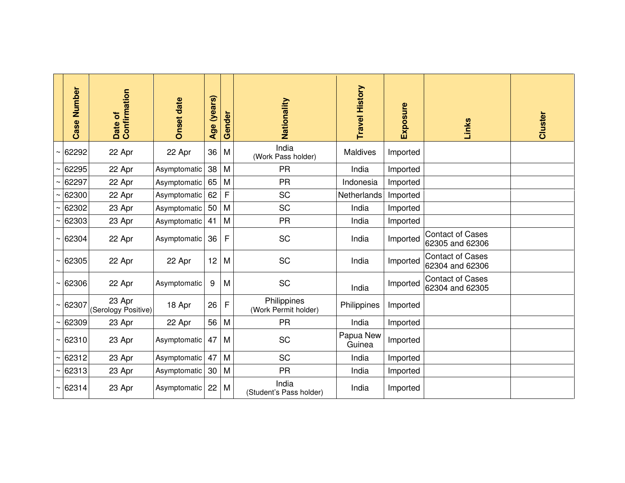| Number<br>Case | Date of<br>Confirmation       | <b>Onset date</b> | (years)<br>Age | Gender | Nationality                         | Travel History      | Exposure | Links                                      | Cluster |
|----------------|-------------------------------|-------------------|----------------|--------|-------------------------------------|---------------------|----------|--------------------------------------------|---------|
| 62292          | 22 Apr                        | 22 Apr            | 36             | M      | India<br>(Work Pass holder)         | <b>Maldives</b>     | Imported |                                            |         |
| 62295          | 22 Apr                        | Asymptomatic      | 38             | M      | <b>PR</b>                           | India               | Imported |                                            |         |
| 62297          | 22 Apr                        | Asymptomatic      | 65             | M      | <b>PR</b>                           | Indonesia           | Imported |                                            |         |
| 62300          | 22 Apr                        | Asymptomatic      | 62             | F      | SC                                  | Netherlands         | Imported |                                            |         |
| 62302          | 23 Apr                        | Asymptomatic      | 50             | M      | SC                                  | India               | Imported |                                            |         |
| 62303          | 23 Apr                        | Asymptomatic      | 41             | M      | <b>PR</b>                           | India               | Imported |                                            |         |
| 62304          | 22 Apr                        | Asymptomatic      | 36             | F      | SC                                  | India               | Imported | <b>Contact of Cases</b><br>62305 and 62306 |         |
| 62305          | 22 Apr                        | 22 Apr            | 12             | M      | <b>SC</b>                           | India               | Imported | <b>Contact of Cases</b><br>62304 and 62306 |         |
| 62306          | 22 Apr                        | Asymptomatic      | 9              | M      | SC                                  | India               | Imported | <b>Contact of Cases</b><br>62304 and 62305 |         |
| 62307          | 23 Apr<br>(Serology Positive) | 18 Apr            | 26             | F      | Philippines<br>(Work Permit holder) | Philippines         | Imported |                                            |         |
| 62309          | 23 Apr                        | 22 Apr            | 56             | M      | <b>PR</b>                           | India               | Imported |                                            |         |
| 62310          | 23 Apr                        | Asymptomatic      | 47             | M      | SC                                  | Papua New<br>Guinea | Imported |                                            |         |
| 62312          | 23 Apr                        | Asymptomatic      | 47             | M      | <b>SC</b>                           | India               | Imported |                                            |         |
| 62313          | 23 Apr                        | Asymptomatic      | 30             | M      | <b>PR</b>                           | India               | Imported |                                            |         |
| 62314          | 23 Apr                        | Asymptomatic      | 22             | M      | India<br>(Student's Pass holder)    | India               | Imported |                                            |         |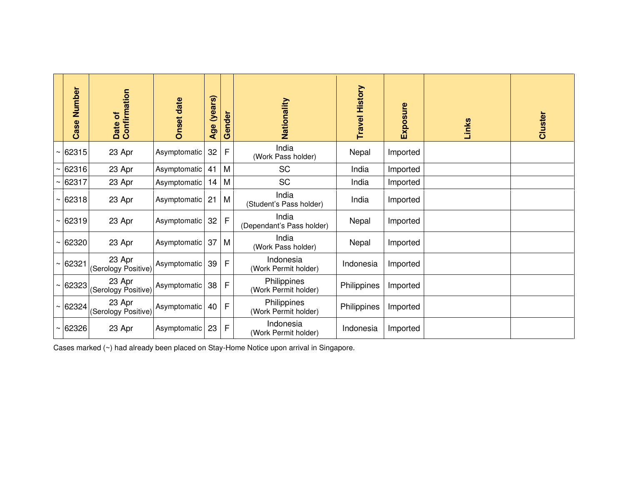|            | Number<br>Case | Date of<br>Confirmation       | <b>Onset date</b> | (years)<br>Age | Gender | Nationality                         | <b>Travel History</b> | Exposure | Links | Cluster |
|------------|----------------|-------------------------------|-------------------|----------------|--------|-------------------------------------|-----------------------|----------|-------|---------|
| $\tilde{}$ | 62315          | 23 Apr                        | Asymptomatic      | 32             | F      | India<br>(Work Pass holder)         | Nepal                 | Imported |       |         |
|            | 62316          | 23 Apr                        | Asymptomatic      | 41             | M      | SC                                  | India                 | Imported |       |         |
| $\tilde{}$ | 62317          | 23 Apr                        | Asymptomatic      | 14             | M      | <b>SC</b>                           | India                 | Imported |       |         |
|            | $\sim$ 62318   | 23 Apr                        | Asymptomatic      | 21             | M      | India<br>(Student's Pass holder)    | India                 | Imported |       |         |
|            | $\sim$ 62319   | 23 Apr                        | Asymptomatic      | 32             | F      | India<br>(Dependant's Pass holder)  | Nepal                 | Imported |       |         |
|            | $\sim$ 62320   | 23 Apr                        | Asymptomatic      | 37             | M      | India<br>(Work Pass holder)         | Nepal                 | Imported |       |         |
|            | $\sim$ 62321   | 23 Apr<br>(Serology Positive) | Asymptomatic      | 39             | F      | Indonesia<br>(Work Permit holder)   | Indonesia             | Imported |       |         |
|            | $\sim$ 62323   | 23 Apr<br>(Serology Positive) | Asymptomatic      | 38             | F      | Philippines<br>(Work Permit holder) | Philippines           | Imported |       |         |
|            | $\sim$ 62324   | 23 Apr<br>(Serology Positive) | Asymptomatic      | 40             | F      | Philippines<br>(Work Permit holder) | Philippines           | Imported |       |         |
|            | 62326          | 23 Apr                        | Asymptomatic      | 23             | F      | Indonesia<br>(Work Permit holder)   | Indonesia             | Imported |       |         |

Cases marked (~) had already been placed on Stay-Home Notice upon arrival in Singapore.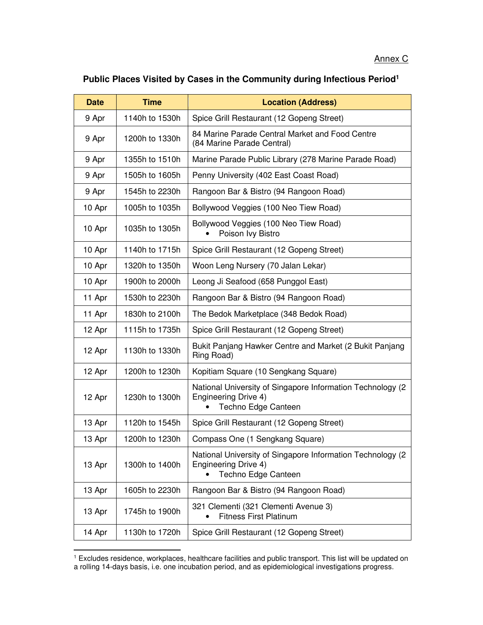## **Public Places Visited by Cases in the Community during Infectious Period<sup>1</sup>**

| <b>Date</b> | <b>Time</b>    | <b>Location (Address)</b>                                                                                         |
|-------------|----------------|-------------------------------------------------------------------------------------------------------------------|
| 9 Apr       | 1140h to 1530h | Spice Grill Restaurant (12 Gopeng Street)                                                                         |
| 9 Apr       | 1200h to 1330h | 84 Marine Parade Central Market and Food Centre<br>(84 Marine Parade Central)                                     |
| 9 Apr       | 1355h to 1510h | Marine Parade Public Library (278 Marine Parade Road)                                                             |
| 9 Apr       | 1505h to 1605h | Penny University (402 East Coast Road)                                                                            |
| 9 Apr       | 1545h to 2230h | Rangoon Bar & Bistro (94 Rangoon Road)                                                                            |
| 10 Apr      | 1005h to 1035h | Bollywood Veggies (100 Neo Tiew Road)                                                                             |
| 10 Apr      | 1035h to 1305h | Bollywood Veggies (100 Neo Tiew Road)<br>Poison Ivy Bistro                                                        |
| 10 Apr      | 1140h to 1715h | Spice Grill Restaurant (12 Gopeng Street)                                                                         |
| 10 Apr      | 1320h to 1350h | Woon Leng Nursery (70 Jalan Lekar)                                                                                |
| 10 Apr      | 1900h to 2000h | Leong Ji Seafood (658 Punggol East)                                                                               |
| 11 Apr      | 1530h to 2230h | Rangoon Bar & Bistro (94 Rangoon Road)                                                                            |
| 11 Apr      | 1830h to 2100h | The Bedok Marketplace (348 Bedok Road)                                                                            |
| 12 Apr      | 1115h to 1735h | Spice Grill Restaurant (12 Gopeng Street)                                                                         |
| 12 Apr      | 1130h to 1330h | Bukit Panjang Hawker Centre and Market (2 Bukit Panjang<br>Ring Road)                                             |
| 12 Apr      | 1200h to 1230h | Kopitiam Square (10 Sengkang Square)                                                                              |
| 12 Apr      | 1230h to 1300h | National University of Singapore Information Technology (2)<br>Engineering Drive 4)<br>Techno Edge Canteen        |
| 13 Apr      | 1120h to 1545h | Spice Grill Restaurant (12 Gopeng Street)                                                                         |
| 13 Apr      | 1200h to 1230h | Compass One (1 Sengkang Square)                                                                                   |
| 13 Apr      | 1300h to 1400h | National University of Singapore Information Technology (2)<br><b>Engineering Drive 4)</b><br>Techno Edge Canteen |
| 13 Apr      | 1605h to 2230h | Rangoon Bar & Bistro (94 Rangoon Road)                                                                            |
| 13 Apr      | 1745h to 1900h | 321 Clementi (321 Clementi Avenue 3)<br><b>Fitness First Platinum</b>                                             |
| 14 Apr      | 1130h to 1720h | Spice Grill Restaurant (12 Gopeng Street)                                                                         |

<sup>1</sup> Excludes residence, workplaces, healthcare facilities and public transport. This list will be updated on a rolling 14-days basis, i.e. one incubation period, and as epidemiological investigations progress.